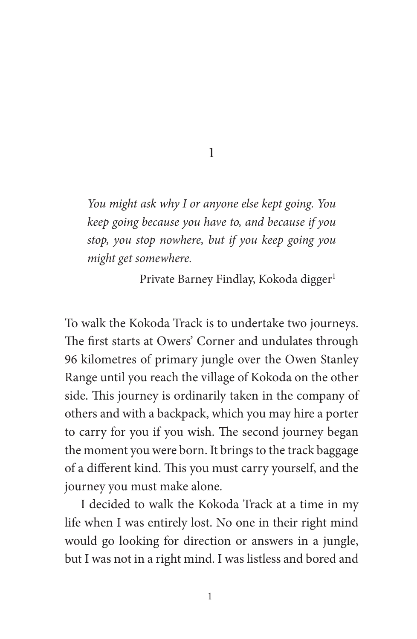1

*You might ask why I or anyone else kept going. You keep going because you have to, and because if you stop, you stop nowhere, but if you keep going you might get somewhere.*

Private Barney Findlay, Kokoda digger<sup>1</sup>

To walk the Kokoda Track is to undertake two journeys. The first starts at Owers' Corner and undulates through 96 kilometres of primary jungle over the Owen Stanley Range until you reach the village of Kokoda on the other side. This journey is ordinarily taken in the company of others and with a backpack, which you may hire a porter to carry for you if you wish. The second journey began the moment you were born. It brings to the track baggage of a different kind. This you must carry yourself, and the journey you must make alone.

I decided to walk the Kokoda Track at a time in my life when I was entirely lost. No one in their right mind would go looking for direction or answers in a jungle, but I was not in a right mind. I was listless and bored and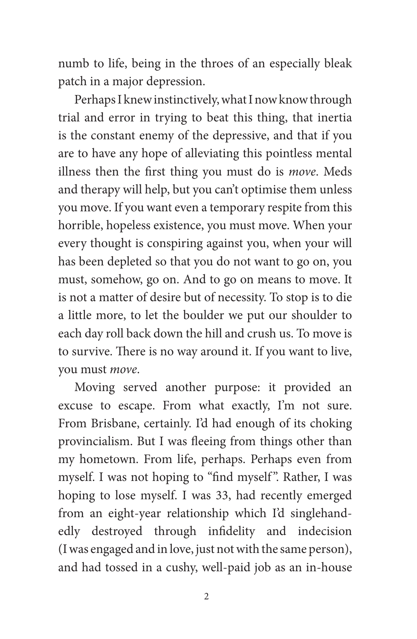numb to life, being in the throes of an especially bleak patch in a major depression.

Perhaps I knew instinctively, what I now know through trial and error in trying to beat this thing, that inertia is the constant enemy of the depressive, and that if you are to have any hope of alleviating this pointless mental illness then the first thing you must do is *move*. Meds and therapy will help, but you can't optimise them unless you move. If you want even a temporary respite from this horrible, hopeless existence, you must move. When your every thought is conspiring against you, when your will has been depleted so that you do not want to go on, you must, somehow, go on. And to go on means to move. It is not a matter of desire but of necessity. To stop is to die a little more, to let the boulder we put our shoulder to each day roll back down the hill and crush us. To move is to survive. There is no way around it. If you want to live, you must *move*.

Moving served another purpose: it provided an excuse to escape. From what exactly, I'm not sure. From Brisbane, certainly. I'd had enough of its choking provincialism. But I was fleeing from things other than my hometown. From life, perhaps. Perhaps even from myself. I was not hoping to "find myself ". Rather, I was hoping to lose myself. I was 33, had recently emerged from an eight-year relationship which I'd singlehandedly destroyed through infidelity and indecision (I was engaged and in love, just not with the same person), and had tossed in a cushy, well-paid job as an in-house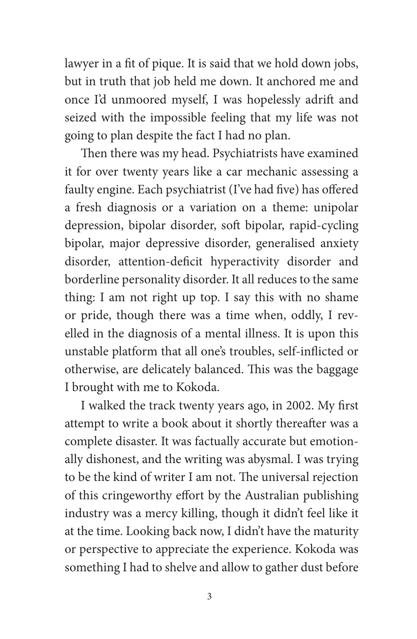lawyer in a fit of pique. It is said that we hold down jobs, but in truth that job held me down. It anchored me and once I'd unmoored myself, I was hopelessly adrift and seized with the impossible feeling that my life was not going to plan despite the fact I had no plan.

Then there was my head. Psychiatrists have examined it for over twenty years like a car mechanic assessing a faulty engine. Each psychiatrist (I've had five) has offered a fresh diagnosis or a variation on a theme: unipolar depression, bipolar disorder, soft bipolar, rapid-cycling bipolar, major depressive disorder, generalised anxiety disorder, attention-deficit hyperactivity disorder and borderline personality disorder. It all reduces to the same thing: I am not right up top. I say this with no shame or pride, though there was a time when, oddly, I revelled in the diagnosis of a mental illness. It is upon this unstable platform that all one's troubles, self-inflicted or otherwise, are delicately balanced. This was the baggage I brought with me to Kokoda.

I walked the track twenty years ago, in 2002. My first attempt to write a book about it shortly thereafter was a complete disaster. It was factually accurate but emotionally dishonest, and the writing was abysmal. I was trying to be the kind of writer I am not. The universal rejection of this cringeworthy effort by the Australian publishing industry was a mercy killing, though it didn't feel like it at the time. Looking back now, I didn't have the maturity or perspective to appreciate the experience. Kokoda was something I had to shelve and allow to gather dust before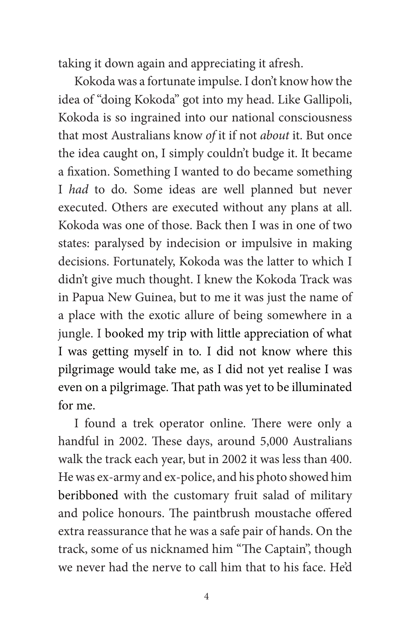taking it down again and appreciating it afresh.

Kokoda was a fortunate impulse. I don't know how the idea of "doing Kokoda" got into my head. Like Gallipoli, Kokoda is so ingrained into our national consciousness that most Australians know *of* it if not *about* it. But once the idea caught on, I simply couldn't budge it. It became a fixation. Something I wanted to do became something I *had* to do. Some ideas are well planned but never executed. Others are executed without any plans at all. Kokoda was one of those. Back then I was in one of two states: paralysed by indecision or impulsive in making decisions. Fortunately, Kokoda was the latter to which I didn't give much thought. I knew the Kokoda Track was in Papua New Guinea, but to me it was just the name of a place with the exotic allure of being somewhere in a jungle. I booked my trip with little appreciation of what I was getting myself in to. I did not know where this pilgrimage would take me, as I did not yet realise I was even on a pilgrimage. That path was yet to be illuminated for me.

I found a trek operator online. There were only a handful in 2002. These days, around 5,000 Australians walk the track each year, but in 2002 it was less than 400. He was ex-army and ex-police, and his photo showed him beribboned with the customary fruit salad of military and police honours. The paintbrush moustache offered extra reassurance that he was a safe pair of hands. On the track, some of us nicknamed him "The Captain", though we never had the nerve to call him that to his face. He'd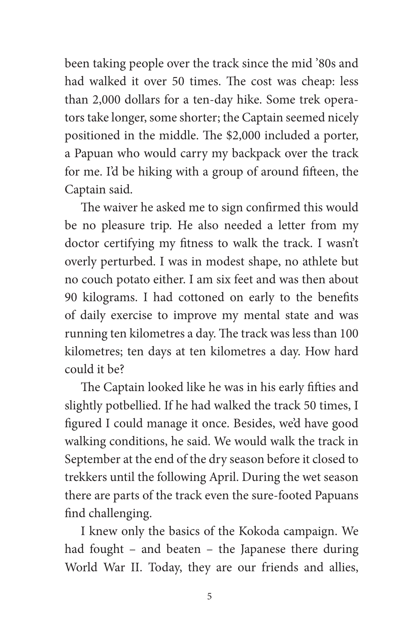been taking people over the track since the mid '80s and had walked it over 50 times. The cost was cheap: less than 2,000 dollars for a ten-day hike. Some trek operators take longer, some shorter; the Captain seemed nicely positioned in the middle. The \$2,000 included a porter, a Papuan who would carry my backpack over the track for me. I'd be hiking with a group of around fifteen, the Captain said.

The waiver he asked me to sign confirmed this would be no pleasure trip. He also needed a letter from my doctor certifying my fitness to walk the track. I wasn't overly perturbed. I was in modest shape, no athlete but no couch potato either. I am six feet and was then about 90 kilograms. I had cottoned on early to the benefits of daily exercise to improve my mental state and was running ten kilometres a day. The track was less than 100 kilometres; ten days at ten kilometres a day. How hard could it be?

The Captain looked like he was in his early fifties and slightly potbellied. If he had walked the track 50 times, I figured I could manage it once. Besides, we'd have good walking conditions, he said. We would walk the track in September at the end of the dry season before it closed to trekkers until the following April. During the wet season there are parts of the track even the sure-footed Papuans find challenging.

I knew only the basics of the Kokoda campaign. We had fought – and beaten – the Japanese there during World War II. Today, they are our friends and allies,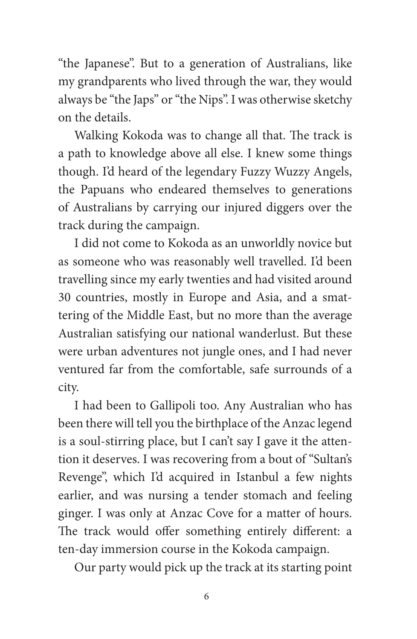"the Japanese". But to a generation of Australians, like my grandparents who lived through the war, they would always be "the Japs" or "the Nips". I was otherwise sketchy on the details.

Walking Kokoda was to change all that. The track is a path to knowledge above all else. I knew some things though. I'd heard of the legendary Fuzzy Wuzzy Angels, the Papuans who endeared themselves to generations of Australians by carrying our injured diggers over the track during the campaign.

I did not come to Kokoda as an unworldly novice but as someone who was reasonably well travelled. I'd been travelling since my early twenties and had visited around 30 countries, mostly in Europe and Asia, and a smattering of the Middle East, but no more than the average Australian satisfying our national wanderlust. But these were urban adventures not jungle ones, and I had never ventured far from the comfortable, safe surrounds of a city.

I had been to Gallipoli too. Any Australian who has been there will tell you the birthplace of the Anzac legend is a soul-stirring place, but I can't say I gave it the attention it deserves. I was recovering from a bout of "Sultan's Revenge", which I'd acquired in Istanbul a few nights earlier, and was nursing a tender stomach and feeling ginger. I was only at Anzac Cove for a matter of hours. The track would offer something entirely different: a ten-day immersion course in the Kokoda campaign.

Our party would pick up the track at its starting point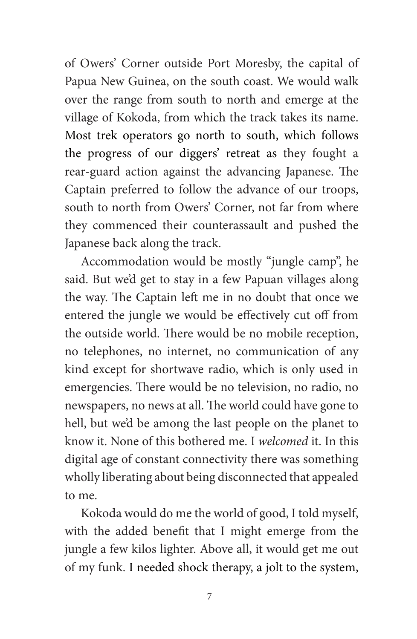of Owers' Corner outside Port Moresby, the capital of Papua New Guinea, on the south coast. We would walk over the range from south to north and emerge at the village of Kokoda, from which the track takes its name. Most trek operators go north to south, which follows the progress of our diggers' retreat as they fought a rear-guard action against the advancing Japanese. The Captain preferred to follow the advance of our troops, south to north from Owers' Corner, not far from where they commenced their counterassault and pushed the Japanese back along the track.

Accommodation would be mostly "jungle camp", he said. But we'd get to stay in a few Papuan villages along the way. The Captain left me in no doubt that once we entered the jungle we would be effectively cut off from the outside world. There would be no mobile reception, no telephones, no internet, no communication of any kind except for shortwave radio, which is only used in emergencies. There would be no television, no radio, no newspapers, no news at all. The world could have gone to hell, but we'd be among the last people on the planet to know it. None of this bothered me. I *welcomed* it. In this digital age of constant connectivity there was something wholly liberating about being disconnected that appealed to me.

Kokoda would do me the world of good, I told myself, with the added benefit that I might emerge from the jungle a few kilos lighter. Above all, it would get me out of my funk. I needed shock therapy, a jolt to the system,